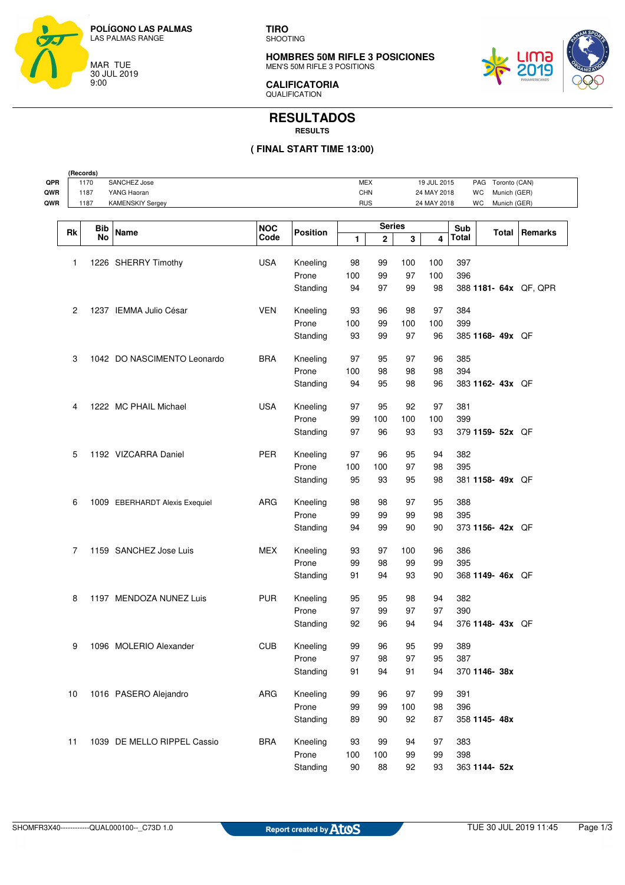

**TIRO** SHOOTING

**HOMBRES 50M RIFLE 3 POSICIONES** MEN'S 50M RIFLE 3 POSITIONS



**CALIFICATORIA QUALIFICATION** 

## **RESULTADOS RESULTS**

## **( FINAL START TIME 13:00)**

| QPR<br>QWR     | (Records)<br>SANCHEZ Jose<br>1170<br>1187<br>YANG Haoran |                                |                    |                 |            |                              | <b>MEX</b><br><b>CHN</b> |             |              | 19 JUL 2015<br>Toronto (CAN)<br>PAG<br>WC<br>Munich (GER)<br>24 MAY 2018 |                |  |
|----------------|----------------------------------------------------------|--------------------------------|--------------------|-----------------|------------|------------------------------|--------------------------|-------------|--------------|--------------------------------------------------------------------------|----------------|--|
| QWR            | 1187                                                     | <b>KAMENSKIY Sergey</b>        |                    |                 | <b>RUS</b> |                              |                          | 24 MAY 2018 |              | WC<br>Munich (GER)                                                       |                |  |
| Rk             | Bib<br>No                                                | Name                           | <b>NOC</b><br>Code | <b>Position</b> | 1          | <b>Series</b><br>$\mathbf 2$ | 3                        | 4           | Sub<br>Total | Total                                                                    | <b>Remarks</b> |  |
| 1              |                                                          | 1226 SHERRY Timothy            | <b>USA</b>         | Kneeling        | 98         | 99                           | 100                      | 100         | 397          |                                                                          |                |  |
|                |                                                          |                                |                    | Prone           | 100        | 99                           | 97                       | 100         | 396          |                                                                          |                |  |
|                |                                                          |                                |                    | Standing        | 94         | 97                           | 99                       | 98          |              | 388 1181- 64x QF, QPR                                                    |                |  |
| $\overline{c}$ |                                                          | 1237 IEMMA Julio César         | <b>VEN</b>         | Kneeling        | 93         | 96                           | 98                       | 97          | 384          |                                                                          |                |  |
|                |                                                          |                                |                    | Prone           | 100        | 99                           | 100                      | 100         | 399          |                                                                          |                |  |
|                |                                                          |                                |                    | Standing        | 93         | 99                           | 97                       | 96          |              | 385 1168- 49x QF                                                         |                |  |
| 3              |                                                          | 1042 DO NASCIMENTO Leonardo    | <b>BRA</b>         | Kneeling        | 97         | 95                           | 97                       | 96          | 385          |                                                                          |                |  |
|                |                                                          |                                |                    | Prone           | 100        | 98                           | 98                       | 98          | 394          |                                                                          |                |  |
|                |                                                          |                                |                    | Standing        | 94         | 95                           | 98                       | 96          |              | 383 1162- 43x QF                                                         |                |  |
| 4              |                                                          | 1222 MC PHAIL Michael          | <b>USA</b>         | Kneeling        | 97         | 95                           | 92                       | 97          | 381          |                                                                          |                |  |
|                |                                                          |                                |                    | Prone           | 99         | 100                          | 100                      | 100         | 399          |                                                                          |                |  |
|                |                                                          |                                |                    | Standing        | 97         | 96                           | 93                       | 93          |              | 379 1159- 52x QF                                                         |                |  |
| 5              |                                                          | 1192 VIZCARRA Daniel           | <b>PER</b>         | Kneeling        | 97         | 96                           | 95                       | 94          | 382          |                                                                          |                |  |
|                |                                                          |                                |                    | Prone           | 100        | 100                          | 97                       | 98          | 395          |                                                                          |                |  |
|                |                                                          |                                |                    | Standing        | 95         | 93                           | 95                       | 98          |              | 381 1158- 49x QF                                                         |                |  |
| 6              |                                                          | 1009 EBERHARDT Alexis Exequiel | ARG                | Kneeling        | 98         | 98                           | 97                       | 95          | 388          |                                                                          |                |  |
|                |                                                          |                                |                    | Prone           | 99         | 99                           | 99                       | 98          | 395          |                                                                          |                |  |
|                |                                                          |                                |                    | Standing        | 94         | 99                           | 90                       | 90          |              | 373 1156- 42x QF                                                         |                |  |
| 7              |                                                          | 1159 SANCHEZ Jose Luis         | MEX                | Kneeling        | 93         | 97                           | 100                      | 96          | 386          |                                                                          |                |  |
|                |                                                          |                                |                    | Prone           | 99         | 98                           | 99                       | 99          | 395          |                                                                          |                |  |
|                |                                                          |                                |                    | Standing        | 91         | 94                           | 93                       | 90          |              | 368 1149- 46x QF                                                         |                |  |
| 8              |                                                          | 1197 MENDOZA NUNEZ Luis        | <b>PUR</b>         | Kneeling        | 95         | 95                           | 98                       | 94          | 382          |                                                                          |                |  |
|                |                                                          |                                |                    | Prone           | 97         | 99                           | 97                       | 97          | 390          |                                                                          |                |  |
|                |                                                          |                                |                    | Standing        | 92         | 96                           | 94                       | 94          |              | 376 1148-43x QF                                                          |                |  |
| 9              |                                                          | 1096 MOLERIO Alexander         | <b>CUB</b>         | Kneeling        | 99         | 96                           | 95                       | 99          | 389          |                                                                          |                |  |
|                |                                                          |                                |                    | Prone           | 97         | 98                           | 97                       | 95          | 387          |                                                                          |                |  |
|                |                                                          |                                |                    | Standing        | 91         | 94                           | 91                       | 94          |              | 370 1146- 38x                                                            |                |  |
| 10             |                                                          | 1016 PASERO Alejandro          | ARG                | Kneeling        | 99         | 96                           | 97                       | 99          | 391          |                                                                          |                |  |
|                |                                                          |                                |                    | Prone           | 99         | 99                           | 100                      | 98          | 396          |                                                                          |                |  |
|                |                                                          |                                |                    | Standing        | 89         | 90                           | 92                       | 87          |              | 358 1145-48x                                                             |                |  |
| 11             |                                                          | 1039 DE MELLO RIPPEL Cassio    | <b>BRA</b>         | Kneeling        | 93         | 99                           | 94                       | 97          | 383          |                                                                          |                |  |
|                |                                                          |                                |                    | Prone           | 100        | 100                          | 99                       | 99          | 398          |                                                                          |                |  |
|                |                                                          |                                |                    | Standing        | $90\,$     | 88                           | 92                       | 93          |              | 363 1144- 52x                                                            |                |  |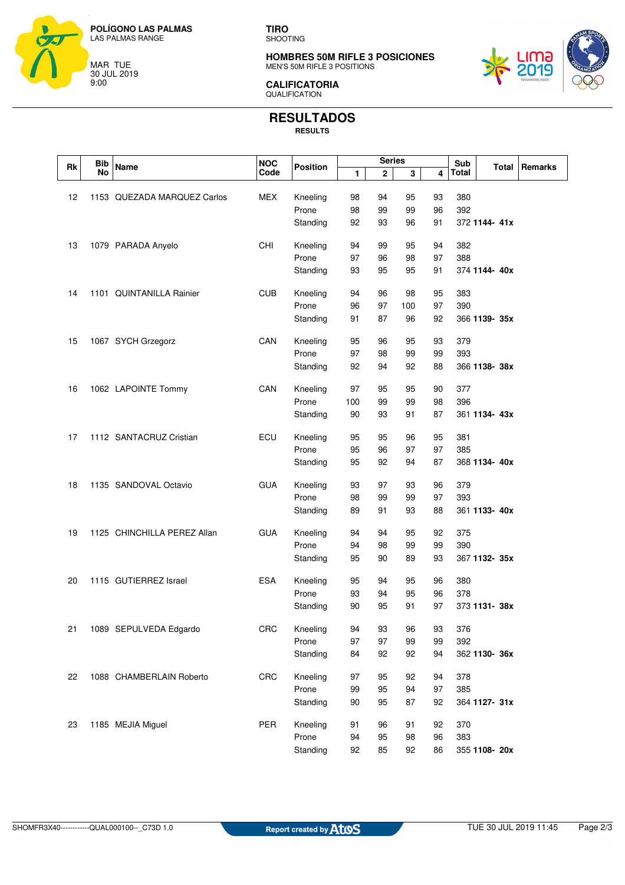

**TIRO** SHOOTING

**HOMBRES 50M RIFLE 3 POSICIONES** MEN'S 50M RIFLE 3 POSITIONS



**CALIFICATORIA** QUALIFICATION

## **RESULTADOS**

**RESULTS**

|    | <b>Bib</b> |                             | <b>NOC</b> |                 |     | <b>Series</b> |     |    | Sub   |               |         |
|----|------------|-----------------------------|------------|-----------------|-----|---------------|-----|----|-------|---------------|---------|
| Rk | No         | <b>Name</b>                 | Code       | <b>Position</b> | 1   | 2             | 3   | 4  | Total | Total         | Remarks |
|    |            |                             |            |                 |     |               |     |    |       |               |         |
| 12 |            | 1153 QUEZADA MARQUEZ Carlos | <b>MEX</b> | Kneeling        | 98  | 94            | 95  | 93 | 380   |               |         |
|    |            |                             |            | Prone           | 98  | 99            | 99  | 96 | 392   |               |         |
|    |            |                             |            | Standing        | 92  | 93            | 96  | 91 |       | 372 1144-41x  |         |
| 13 |            | 1079 PARADA Anyelo          | CHI        | Kneeling        | 94  | 99            | 95  | 94 | 382   |               |         |
|    |            |                             |            | Prone           | 97  | 96            | 98  | 97 | 388   |               |         |
|    |            |                             |            | Standing        | 93  | 95            | 95  | 91 |       | 374 1144-40x  |         |
| 14 |            | 1101 QUINTANILLA Rainier    | <b>CUB</b> | Kneeling        | 94  | 96            | 98  | 95 | 383   |               |         |
|    |            |                             |            | Prone           | 96  | 97            | 100 | 97 | 390   |               |         |
|    |            |                             |            | Standing        | 91  | 87            | 96  | 92 |       | 366 1139- 35x |         |
| 15 |            | 1067 SYCH Grzegorz          | CAN        | Kneeling        | 95  | 96            | 95  | 93 | 379   |               |         |
|    |            |                             |            | Prone           | 97  | 98            | 99  | 99 | 393   |               |         |
|    |            |                             |            | Standing        | 92  | 94            | 92  | 88 |       | 366 1138-38x  |         |
|    |            |                             |            |                 |     |               |     |    |       |               |         |
| 16 |            | 1062 LAPOINTE Tommy         | CAN        | Kneeling        | 97  | 95            | 95  | 90 | 377   |               |         |
|    |            |                             |            | Prone           | 100 | 99            | 99  | 98 | 396   |               |         |
|    |            |                             |            | Standing        | 90  | 93            | 91  | 87 |       | 361 1134-43x  |         |
| 17 |            | 1112 SANTACRUZ Cristian     | ECU        | Kneeling        | 95  | 95            | 96  | 95 | 381   |               |         |
|    |            |                             |            | Prone           | 95  | 96            | 97  | 97 | 385   |               |         |
|    |            |                             |            | Standing        | 95  | 92            | 94  | 87 |       | 368 1134-40x  |         |
| 18 |            | 1135 SANDOVAL Octavio       | <b>GUA</b> | Kneeling        | 93  | 97            | 93  | 96 | 379   |               |         |
|    |            |                             |            | Prone           | 98  | 99            | 99  | 97 | 393   |               |         |
|    |            |                             |            | Standing        | 89  | 91            | 93  | 88 |       | 361 1133-40x  |         |
| 19 |            | 1125 CHINCHILLA PEREZ Allan | <b>GUA</b> | Kneeling        | 94  | 94            | 95  | 92 | 375   |               |         |
|    |            |                             |            | Prone           | 94  | 98            | 99  | 99 | 390   |               |         |
|    |            |                             |            | Standing        | 95  | 90            | 89  | 93 |       | 367 1132- 35x |         |
|    |            |                             |            |                 |     |               |     |    |       |               |         |
| 20 |            | 1115 GUTIERREZ Israel       | <b>ESA</b> | Kneeling        | 95  | 94            | 95  | 96 | 380   |               |         |
|    |            |                             |            | Prone           | 93  | 94            | 95  | 96 | 378   |               |         |
|    |            |                             |            | Standing        | 90  | 95            | 91  | 97 |       | 373 1131- 38x |         |
| 21 |            | 1089 SEPULVEDA Edgardo      | CRC        | Kneeling        | 94  | 93            | 96  | 93 | 376   |               |         |
|    |            |                             |            | Prone           | 97  | 97            | 99  | 99 | 392   |               |         |
|    |            |                             |            | Standing        | 84  | 92            | 92  | 94 |       | 362 1130- 36x |         |
| 22 |            | 1088 CHAMBERLAIN Roberto    | CRC        | Kneeling        | 97  | 95            | 92  | 94 | 378   |               |         |
|    |            |                             |            | Prone           | 99  | 95            | 94  | 97 | 385   |               |         |
|    |            |                             |            | Standing        | 90  | 95            | 87  | 92 |       | 364 1127- 31x |         |
| 23 |            | 1185 MEJIA Miguel           | PER        | Kneeling        | 91  | 96            | 91  | 92 | 370   |               |         |
|    |            |                             |            | Prone           | 94  | 95            | 98  | 96 | 383   |               |         |
|    |            |                             |            | Standing        | 92  | 85            | 92  | 86 |       | 355 1108- 20x |         |